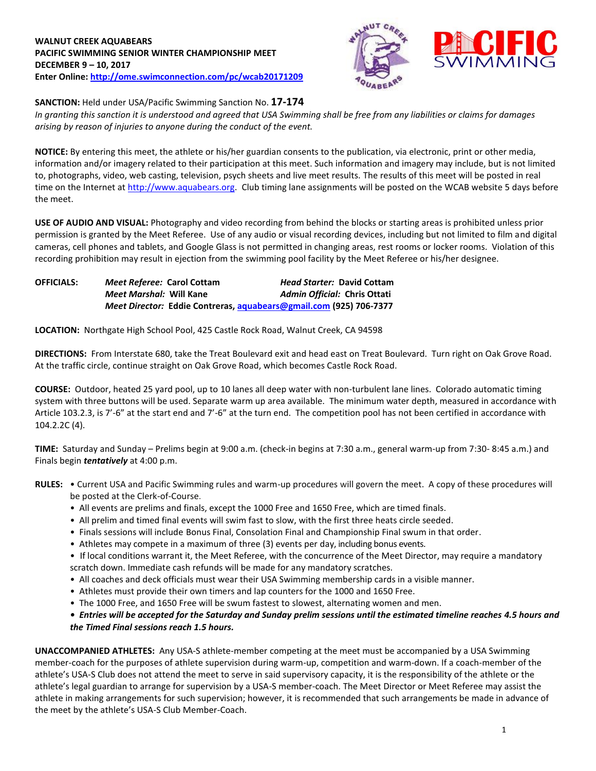# **WALNUT CREEK AQUABEARS PACIFIC SWIMMING SENIOR WINTER CHAMPIONSHIP MEET DECEMBER 9 – 10, 2017 Enter Online:<http://ome.swimconnection.com/pc/wcab20171209>**



## **SANCTION:** Held under USA/Pacific Swimming Sanction No. **17-174**

*In granting this sanction it is understood and agreed that USA Swimming shall be free from any liabilities or claims for damages arising by reason of injuries to anyone during the conduct of the event.*

**NOTICE:** By entering this meet, the athlete or his/her guardian consents to the publication, via electronic, print or other media, information and/or imagery related to their participation at this meet. Such information and imagery may include, but is not limited to, photographs, video, web casting, television, psych sheets and live meet results. The results of this meet will be posted in real time on the Internet at [http://www.aquabears.org.](http://www.aquabears.org/) Club timing lane assignments will be posted on the WCAB website 5 days before the meet.

**USE OF AUDIO AND VISUAL:** Photography and video recording from behind the blocks or starting areas is prohibited unless prior permission is granted by the Meet Referee. Use of any audio or visual recording devices, including but not limited to film and digital cameras, cell phones and tablets, and Google Glass is not permitted in changing areas, rest rooms or locker rooms. Violation of this recording prohibition may result in ejection from the swimming pool facility by the Meet Referee or his/her designee.

| <b>OFFICIALS:</b> | <i>Meet Referee: Carol Cottam</i>                                  | <b>Head Starter: David Cottam</b> |
|-------------------|--------------------------------------------------------------------|-----------------------------------|
|                   | <i>Meet Marshal: Will Kane</i>                                     | Admin Official: Chris Ottati      |
|                   | Meet Director: Eddie Contreras, aquabears@gmail.com (925) 706-7377 |                                   |

**LOCATION:** Northgate High School Pool, 425 Castle Rock Road, Walnut Creek, CA 94598

**DIRECTIONS:** From Interstate 680, take the Treat Boulevard exit and head east on Treat Boulevard. Turn right on Oak Grove Road. At the traffic circle, continue straight on Oak Grove Road, which becomes Castle Rock Road.

**COURSE:** Outdoor, heated 25 yard pool, up to 10 lanes all deep water with non-turbulent lane lines. Colorado automatic timing system with three buttons will be used. Separate warm up area available. The minimum water depth, measured in accordance with Article 103.2.3, is 7'-6" at the start end and 7'-6" at the turn end. The competition pool has not been certified in accordance with 104.2.2C (4).

**TIME:** Saturday and Sunday – Prelims begin at 9:00 a.m. (check-in begins at 7:30 a.m., general warm-up from 7:30- 8:45 a.m.) and Finals begin *tentatively* at 4:00 p.m.

- **RULES:** Current USA and Pacific Swimming rules and warm-up procedures will govern the meet. A copy of these procedures will be posted at the Clerk-of-Course.
	- All events are prelims and finals, except the 1000 Free and 1650 Free, which are timed finals.
	- All prelim and timed final events will swim fast to slow, with the first three heats circle seeded.
	- Finals sessions will include Bonus Final, Consolation Final and Championship Final swum in that order.
	- Athletes may compete in a maximum of three (3) events per day, including bonus events.
	- If local conditions warrant it, the Meet Referee, with the concurrence of the Meet Director, may require a mandatory scratch down. Immediate cash refunds will be made for any mandatory scratches.
	- All coaches and deck officials must wear their USA Swimming membership cards in a visible manner.
	- Athletes must provide their own timers and lap counters for the 1000 and 1650 Free.
	- The 1000 Free, and 1650 Free will be swum fastest to slowest, alternating women and men.

## *• Entries will be accepted for the Saturday and Sunday prelim sessions until the estimated timeline reaches 4.5 hours and the Timed Final sessions reach 1.5 hours.*

**UNACCOMPANIED ATHLETES:** Any USA-S athlete-member competing at the meet must be accompanied by a USA Swimming member-coach for the purposes of athlete supervision during warm-up, competition and warm-down. If a coach-member of the athlete's USA-S Club does not attend the meet to serve in said supervisory capacity, it is the responsibility of the athlete or the athlete's legal guardian to arrange for supervision by a USA-S member-coach. The Meet Director or Meet Referee may assist the athlete in making arrangements for such supervision; however, it is recommended that such arrangements be made in advance of the meet by the athlete's USA-S Club Member-Coach.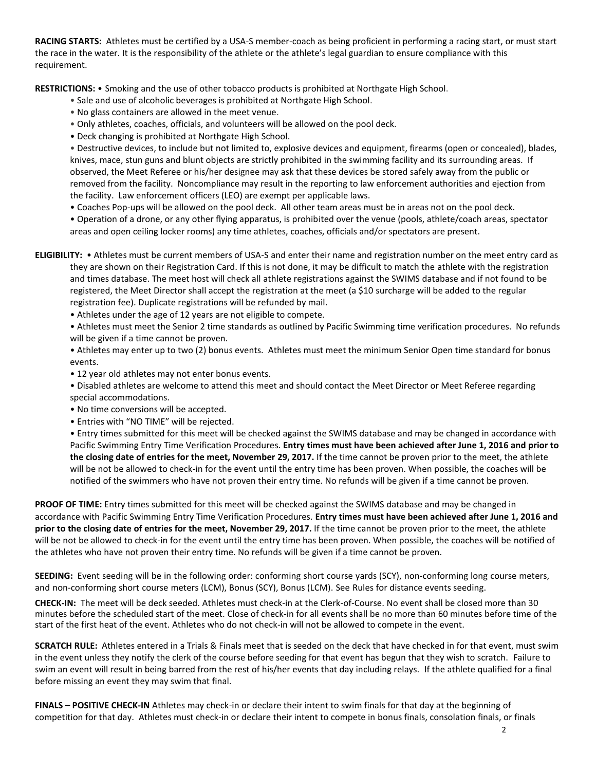**RACING STARTS:** Athletes must be certified by a USA-S member-coach as being proficient in performing a racing start, or must start the race in the water. It is the responsibility of the athlete or the athlete's legal guardian to ensure compliance with this requirement.

**RESTRICTIONS:** • Smoking and the use of other tobacco products is prohibited at Northgate High School.

- Sale and use of alcoholic beverages is prohibited at Northgate High School.
- No glass containers are allowed in the meet venue.
- Only athletes, coaches, officials, and volunteers will be allowed on the pool deck.
- Deck changing is prohibited at Northgate High School.

• Destructive devices, to include but not limited to, explosive devices and equipment, firearms (open or concealed), blades, knives, mace, stun guns and blunt objects are strictly prohibited in the swimming facility and its surrounding areas. If observed, the Meet Referee or his/her designee may ask that these devices be stored safely away from the public or removed from the facility. Noncompliance may result in the reporting to law enforcement authorities and ejection from the facility. Law enforcement officers (LEO) are exempt per applicable laws.

• Coaches Pop-ups will be allowed on the pool deck. All other team areas must be in areas not on the pool deck.

• Operation of a drone, or any other flying apparatus, is prohibited over the venue (pools, athlete/coach areas, spectator areas and open ceiling locker rooms) any time athletes, coaches, officials and/or spectators are present.

- **ELIGIBILITY:** Athletes must be current members of USA-S and enter their name and registration number on the meet entry card as they are shown on their Registration Card. If this is not done, it may be difficult to match the athlete with the registration and times database. The meet host will check all athlete registrations against the SWIMS database and if not found to be registered, the Meet Director shall accept the registration at the meet (a \$10 surcharge will be added to the regular registration fee). Duplicate registrations will be refunded by mail.
	- Athletes under the age of 12 years are not eligible to compete.

• Athletes must meet the Senior 2 time standards as outlined by Pacific Swimming time verification procedures. No refunds will be given if a time cannot be proven.

• Athletes may enter up to two (2) bonus events. Athletes must meet the minimum Senior Open time standard for bonus events.

- 12 year old athletes may not enter bonus events.
- Disabled athletes are welcome to attend this meet and should contact the Meet Director or Meet Referee regarding special accommodations.
- No time conversions will be accepted.
- Entries with "NO TIME" will be rejected.

• Entry times submitted for this meet will be checked against the SWIMS database and may be changed in accordance with Pacific Swimming Entry Time Verification Procedures. **Entry times must have been achieved after June 1, 2016 and prior to the closing date of entries for the meet, November 29, 2017.** If the time cannot be proven prior to the meet, the athlete will be not be allowed to check-in for the event until the entry time has been proven. When possible, the coaches will be notified of the swimmers who have not proven their entry time. No refunds will be given if a time cannot be proven.

**PROOF OF TIME:** Entry times submitted for this meet will be checked against the SWIMS database and may be changed in accordance with Pacific Swimming Entry Time Verification Procedures. **Entry times must have been achieved after June 1, 2016 and prior to the closing date of entries for the meet, November 29, 2017.** If the time cannot be proven prior to the meet, the athlete will be not be allowed to check-in for the event until the entry time has been proven. When possible, the coaches will be notified of the athletes who have not proven their entry time. No refunds will be given if a time cannot be proven.

**SEEDING:** Event seeding will be in the following order: conforming short course yards (SCY), non-conforming long course meters, and non-conforming short course meters (LCM), Bonus (SCY), Bonus (LCM). See Rules for distance events seeding.

**CHECK-IN:** The meet will be deck seeded. Athletes must check-in at the Clerk-of-Course. No event shall be closed more than 30 minutes before the scheduled start of the meet. Close of check-in for all events shall be no more than 60 minutes before time of the start of the first heat of the event. Athletes who do not check-in will not be allowed to compete in the event.

**SCRATCH RULE:** Athletes entered in a Trials & Finals meet that is seeded on the deck that have checked in for that event, must swim in the event unless they notify the clerk of the course before seeding for that event has begun that they wish to scratch. Failure to swim an event will result in being barred from the rest of his/her events that day including relays. If the athlete qualified for a final before missing an event they may swim that final.

**FINALS – POSITIVE CHECK-IN** Athletes may check-in or declare their intent to swim finals for that day at the beginning of competition for that day. Athletes must check-in or declare their intent to compete in bonus finals, consolation finals, or finals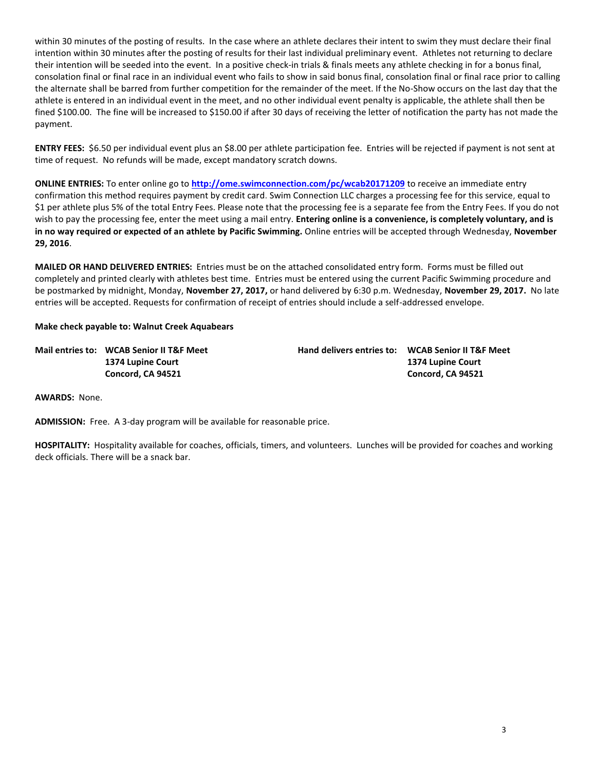within 30 minutes of the posting of results. In the case where an athlete declares their intent to swim they must declare their final intention within 30 minutes after the posting of results for their last individual preliminary event. Athletes not returning to declare their intention will be seeded into the event. In a positive check-in trials & finals meets any athlete checking in for a bonus final, consolation final or final race in an individual event who fails to show in said bonus final, consolation final or final race prior to calling the alternate shall be barred from further competition for the remainder of the meet. If the No-Show occurs on the last day that the athlete is entered in an individual event in the meet, and no other individual event penalty is applicable, the athlete shall then be fined \$100.00. The fine will be increased to \$150.00 if after 30 days of receiving the letter of notification the party has not made the payment.

**ENTRY FEES:** \$6.50 per individual event plus an \$8.00 per athlete participation fee. Entries will be rejected if payment is not sent at time of request. No refunds will be made, except mandatory scratch downs.

**ONLINE ENTRIES:** To enter online go to **<http://ome.swimconnection.com/pc/wcab20171209>** to receive an immediate entry confirmation this method requires payment by credit card. Swim Connection LLC charges a processing fee for this service, equal to \$1 per athlete plus 5% of the total Entry Fees. Please note that the processing fee is a separate fee from the Entry Fees. If you do not wish to pay the processing fee, enter the meet using a mail entry. **Entering online is a convenience, is completely voluntary, and is in no way required or expected of an athlete by Pacific Swimming.** Online entries will be accepted through Wednesday, **November 29, 2016**.

**MAILED OR HAND DELIVERED ENTRIES:** Entries must be on the attached consolidated entry form. Forms must be filled out completely and printed clearly with athletes best time. Entries must be entered using the current Pacific Swimming procedure and be postmarked by midnight, Monday, **November 27, 2017,** or hand delivered by 6:30 p.m. Wednesday, **November 29, 2017.** No late entries will be accepted. Requests for confirmation of receipt of entries should include a self-addressed envelope.

## **Make check payable to: Walnut Creek Aquabears**

| Mail entries to: WCAB Senior II T&F Meet | <b>Hand delivers entries to: WCAB Senior II T&amp;F Meet</b> |                   |
|------------------------------------------|--------------------------------------------------------------|-------------------|
| 1374 Lupine Court                        |                                                              | 1374 Lupine Court |
| Concord, CA 94521                        |                                                              | Concord, CA 94521 |

**AWARDS:** None.

**ADMISSION:** Free. A 3-day program will be available for reasonable price.

**HOSPITALITY:** Hospitality available for coaches, officials, timers, and volunteers. Lunches will be provided for coaches and working deck officials. There will be a snack bar.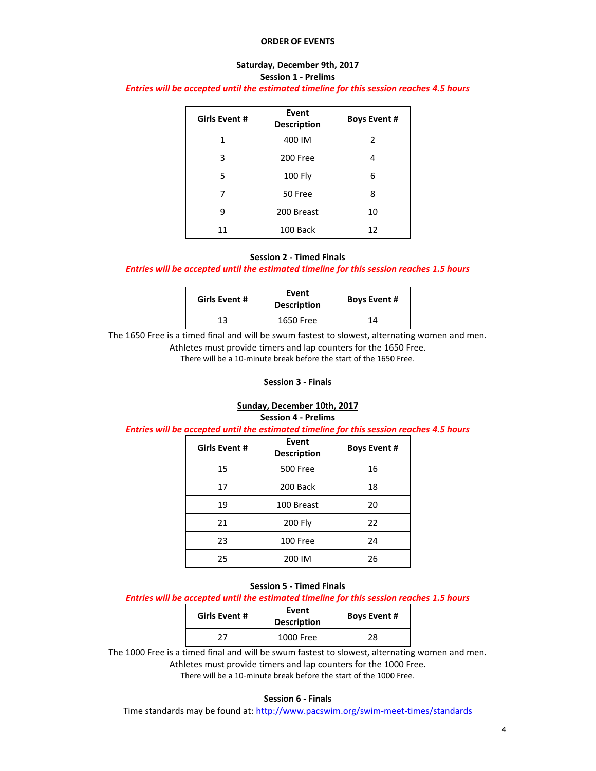#### **ORDER OF EVENTS**

#### **Saturday, December 9th, 2017 Session 1 - Prelims**

#### *Entries will be accepted until the estimated timeline for this session reaches 4.5 hours*

| Girls Event # | Event<br><b>Description</b> | <b>Boys Event #</b> |
|---------------|-----------------------------|---------------------|
|               | 400 IM                      | 2                   |
| 3             | 200 Free                    |                     |
| 5             | 100 Fly                     | 6                   |
|               | 50 Free                     | ጸ                   |
| q             | 200 Breast                  | 10                  |
| 11            | 100 Back                    | 12                  |

#### **Session 2 - Timed Finals**

### *Entries will be accepted until the estimated timeline for this session reaches 1.5 hours*

| Girls Event # | Event<br><b>Description</b> | <b>Boys Event #</b> |  |  |  |
|---------------|-----------------------------|---------------------|--|--|--|
|               | 1650 Free                   | 14                  |  |  |  |

The 1650 Free is a timed final and will be swum fastest to slowest, alternating women and men. Athletes must provide timers and lap counters for the 1650 Free.

There will be a 10-minute break before the start of the 1650 Free.

# **Session 3 - Finals**

# **Sunday, December 10th, 2017**

**Session 4 - Prelims**

*Entries will be accepted until the estimated timeline for this session reaches 4.5 hours*

| <b>Girls Event #</b> | Event<br><b>Description</b> | <b>Boys Event #</b> |  |  |  |
|----------------------|-----------------------------|---------------------|--|--|--|
| 15                   | <b>500 Free</b>             | 16                  |  |  |  |
| 17                   | 200 Back                    | 18                  |  |  |  |
| 19                   | 100 Breast                  | 20                  |  |  |  |
| 21                   | 200 Fly                     | 22                  |  |  |  |
| 23                   | 100 Free                    | 24                  |  |  |  |
| 25                   | 200 IM                      | 26                  |  |  |  |

#### **Session 5 - Timed Finals**

*Entries will be accepted until the estimated timeline for this session reaches 1.5 hours*

| <b>Girls Event #</b> | Event<br><b>Description</b> | <b>Boys Event #</b> |  |  |  |
|----------------------|-----------------------------|---------------------|--|--|--|
|                      | 1000 Free                   | 28                  |  |  |  |

The 1000 Free is a timed final and will be swum fastest to slowest, alternating women and men.

Athletes must provide timers and lap counters for the 1000 Free.

There will be a 10-minute break before the start of the 1000 Free.

#### **Session 6 - Finals**

Time standards may be found at:<http://www.pacswim.org/swim-meet-times/standards>